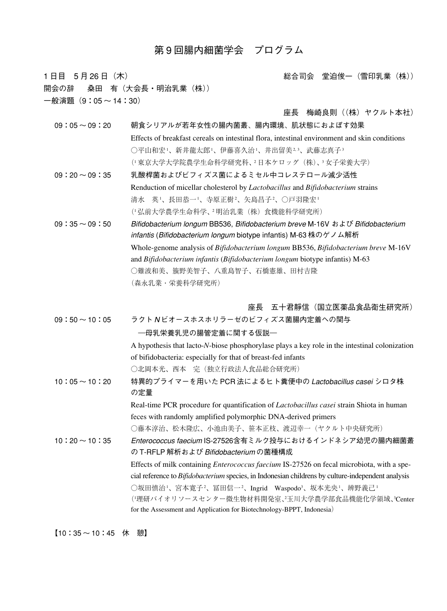# 第 9 回腸内細菌学会 プログラム

1 日目 5 月 26 日(木) インコンバンド インドランド おおとこ おおおおおおおお 総合司会 堂迫俊一(雪印乳業(株)) 開会の辞 桑田 有(大会長・明治乳業(株))  $-$ 般演題 $(9:05 \sim 14:30)$ 座長 梅崎良則 ((株) ヤクルト本社)

09:05 ~ 09:20 朝食シリアルが若年女性の腸内菌叢、腸内環境、肌状態におよぼす効果 Effects of breakfast cereals on intestinal flora, intestinal environment and skin conditions ○平山和宏!、新井龍太郎!、伊藤喜久治!、井出留美2,3、武藤志真子3 (1 東京大学大学院農学生命科学研究科、2 日本ケロッグ(株)、3 女子栄養大学) 09:20 ~ 09:35 乳酸桿菌およびビフィズス菌によるミセル中コレステロール減少活性 Renduction of micellar cholesterol by *Lactobacillus* and *Bifidobacterium* strains

- 清水 英-'、長田恭一-'、寺原正樹-'、矢島昌子-'、○戸羽隆宏-(1 弘前大学農学生命科学、2 明治乳業(株)食機能科学研究所) 09:35 ~ 09:50 Bifidobacterium longum BB536, Bifidobacterium breve M-16V および Bifidobacterium infantis (Bifidobacterium longum biotype infantis) M-63 株のゲノム解析
	- Whole-genome analysis of *Bifidobacterium longum* BB536, *Bifidobacterium breve* M-16V and *Bifidobacterium infantis* (*Bifidobacterium longum* biotype infantis) M-63 ○難波和美、籏野美智子、八重島智子、石橋憲雄、田村吉隆 (森永乳業・栄養科学研究所)

座長 五十君靜信(国立医薬品食品衛生研究所)

|  | $09:50 \sim 10:05$ | ラクトNビオースホスホリラーゼのビフィズス菌腸内定着への関与                                                                            |
|--|--------------------|-----------------------------------------------------------------------------------------------------------|
|  |                    | ―母乳栄養乳児の腸管定着に関する仮説―                                                                                       |
|  |                    | A hypothesis that lacto-N-biose phosphorylase plays a key role in the intestinal colonization             |
|  |                    | of bifidobacteria: especially for that of breast-fed infants                                              |
|  |                    | ○北岡本光、西本 完(独立行政法人食品総合研究所)                                                                                 |
|  | $10:05 \sim 10:20$ | 特異的プライマーを用いた PCR 法によるヒト糞便中の Lactobacillus casei シロタ株<br>の定量                                               |
|  |                    | Real-time PCR procedure for quantification of <i>Lactobacillus casei</i> strain Shiota in human           |
|  |                    | feces with randomly amplified polymorphic DNA-derived primers                                             |
|  |                    | ○藤本淳治、松木隆広、小池由美子、笹本正枝、渡辺幸一(ヤクルト中央研究所)                                                                     |
|  | $10:20 \sim 10:35$ | Enterococcus faecium IS-27526含有ミルク投与におけるインドネシア幼児の腸内細菌叢                                                    |
|  |                    | の T-RFLP 解析および Bifidobacteriumの菌種構成                                                                       |
|  |                    | Effects of milk containing <i>Enterococcus faecium</i> IS-27526 on fecal microbiota, with a spe-          |
|  |                    | cial reference to <i>Bifidobacterium</i> species, in Indonesian childrens by culture-independent analysis |
|  |                    | ○坂田慎治!、宮本寛子 <sup>2</sup> 、冨田信一 <sup>2</sup> 、Ingrid Waspodo <sup>3</sup> 、坂本光央!、辨野義己!                     |
|  |                    | (!理研バイオリソースセンター微生物材料開発室、 <del>?</del> 玉川大学農学部食品機能化学領域、3Center                                             |
|  |                    | for the Assessment and Application for Biotechnology-BPPT, Indonesia)                                     |

【10:35 ~ 10:45 休 憩】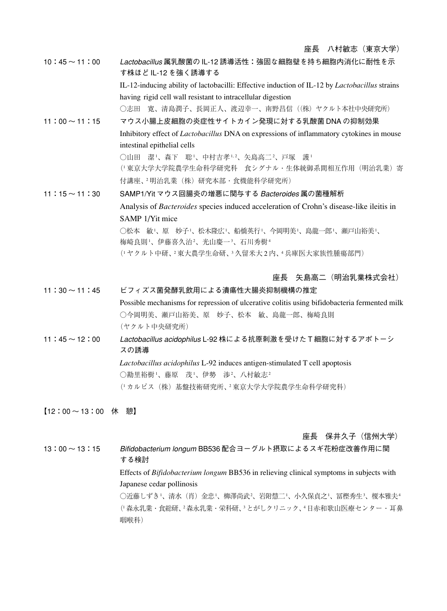10:45 ~ 11:00 Lactobacillus 属乳酸菌の IL-12 誘導活性:強固な細胞壁を持ち細胞内消化に耐性を示 す株ほど IL-12 を強く誘導する IL-12-inducing ability of lactobacilli: Effective induction of IL-12 by *Lactobacillus* strains having rigid cell wall resistant to intracellular digestion ○志田 寛、清島潤子、長岡正人、渡辺幸一、南野昌信((株) ヤクルト本社中央研究所) 11:00 ~ 11:15 マウス小腸上皮細胞の炎症性サイトカイン発現に対する乳酸菌 DNA の抑制効果 Inhibitory effect of *Lactobacillus* DNA on expressions of inflammatory cytokines in mouse intestinal epithelial cells ○山田 潔-'、森下 聡-'、中村吉孝--2、矢島高二-2、戸塚 護-(「東京大学大学院農学生命科学研究科 食シグナル・生体統御系間相互作用(明治乳業)寄 付講座、<sup>2</sup>明治乳業(株)研究本部·食機能科学研究所) 11:15 ~ 11:30 SAMP1/Yit マウス回腸炎の増悪に関与する Bacteroides 属の菌種解析 Analysis of *Bacteroides* species induced acceleration of Crohn's disease-like ileitis in SAMP 1/Yit mice ○松本 敏 '、原 妙子 '、松木隆広 '、船橋英行 '、今岡明美 '、島龍一郎 '、瀬戸山裕美 '、 梅崎良則'、伊藤喜久治²、光山慶一¾、石川秀樹4 (1 ヤクルト中研、2 東大農学生命研、3 久留米大 2 内、4 兵庫医大家族性腫瘍部門)

#### 座長 矢島高二(明治乳業株式会社)

11:30 ~ 11:45 ビフィズス菌発酵乳飲用による潰瘍性大腸炎抑制機構の推定 Possible mechanisms for repression of ulcerative colitis using bifidobacteria fermented milk ○今岡明美、瀬戸山裕美、原 妙子、松本 敏、島龍一郎、梅崎良則 (ヤクルト中央研究所) 11:45 ~ 12:00 Lactobacillus acidophilus L-92 株による抗原刺激を受けた T 細胞に対するアポトーシ スの誘導 *Lactobacillus acidophilus* L-92 induces antigen-stimulated T cell apoptosis

> ○勘里裕樹 '、藤原 茂 '、伊勢 渉 '、八村敏志 ' (1 カルピス(株)基盤技術研究所、2 東京大学大学院農学生命科学研究科)

【12:00 ~ 13:00 休 憩】

座長 保井久子(信州大学)

13:00~13:15 Bifidobacterium longum BB536 配合ヨーグルト摂取によるスギ花粉症改善作用に関 する検討 Effects of *Bifidobacterium longum* BB536 in relieving clinical symptoms in subjects with Japanese cedar pollinosis ○近藤しずき'、清水(肖)金忠'、柳澤尚武²、岩附慧二'、小久保貞之'、冨樫秀生3、榎本雅夫4 (1 森永乳業・食総研、2森永乳業・栄科研、3とがしクリニック、4日赤和歌山医療センター・耳鼻 咽喉科)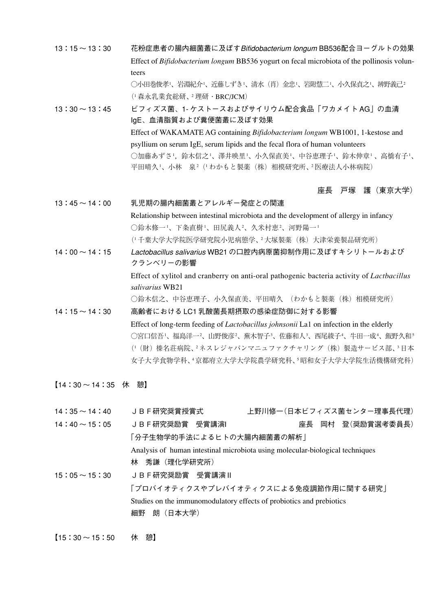- 13:15 ~ 13:30 花粉症患者の腸内細菌叢に及ぼすBifidobacterium longum BB536配合ヨーグルトの効果 Effect of *Bifidobacterium longum* BB536 yogurt on fecal microbiota of the pollinosis volunteers ◯小田巻俊孝'、岩淵紀介'、近藤しずき'、清水(肖)金忠'、岩附慧二'、小久保貞之'、辨野義己<sup>2</sup> (1 森永乳業食総研、2 理研・BRC/JCM) 13:30 ~ 13:45 ビフィズス菌、1- ケストースおよびサイリウム配合食品「ワカメイト AG」の血清
	- IgE、血清脂質および糞便菌叢に及ぼす効果 Effect of WAKAMATE AG containing *Bifidobacterium longum* WB1001, 1-kestose and psyllium on serum IgE, serum lipids and the fecal flora of human volunteers ○加藤あずさ',鈴木信之'、澤井映里'、小久保直美'、中谷恵理子'、鈴木伸章' 、高橋有子'、 平田晴久-'、小林 泉<sup>2</sup>(+わかもと製薬(株)相模研究所、2 医療法人小林病院)

### 座長 戸塚 護(東京大学)

13:45 ~ 14:00 乳児期の腸内細菌叢とアレルギー発症との関連 Relationship between intestinal microbiota and the development of allergy in infancy ○鈴木修一-'、下条直樹-'、田尻義人-'、久米村恵-'、河野陽一-(1 千葉大学大学院医学研究院小児病態学、2 大塚製薬(株)大津栄養製品研究所) 14:00 ~ 14:15 Lactobacillus salivarius WB21 の口腔内病原菌抑制作用に及ぼすキシリトールおよび クランベリーの影響

> Effect of xylitol and cranberry on anti-oral pathogenic bacteria activity of *Lactbacillus salivarius* WB21

○鈴木信之、中谷恵理子、小久保直美、平田晴久 (わかもと製薬(株)相模研究所)

# 14:15 ~ 14:30 高齢者における LC1 乳酸菌長期摂取の感染症防御に対する影響 Effect of long-term feeding of *Lactobacillus johnsonii* La1 on infection in the elderly ○宮口信吾'、福島洋一²、山野俊彦²、蕪木智子ª、佐藤和人ª、西尾綾子4、牛田一成4、飯野久和⋾ (「(財)榛名荘病院、- ネスレジャパンマニュファクチャリング(株)製造サービス部、"日本 女子大 学食物学科、4京都府立大学大学院農学研究科、5昭和女子大学大学院生活機構研究科)

【14:30 ~ 14:35 休 憩】

| $14:35 \sim 14:40$ | JBF研究奨賞授賞式                                                                    |  |  | 上野川修一(日本ビフィズス菌センター理事長代理) |  |
|--------------------|-------------------------------------------------------------------------------|--|--|--------------------------|--|
| $14:40 \sim 15:05$ | JBF研究奨励賞 受賞講演I                                                                |  |  | 座長 岡村 登(奨励賞選考委員長)        |  |
|                    | 「分子生物学的手法によるヒトの大腸内細菌叢の解析」                                                     |  |  |                          |  |
|                    | Analysis of human intestinal microbiota using molecular-biological techniques |  |  |                          |  |
|                    | 林                                                                             |  |  |                          |  |
| $15:05 \sim 15:30$ | JBF研究奨励賞 受賞講演Ⅱ                                                                |  |  |                          |  |
|                    | 「プロバイオティクスやプレバイオティクスによる免疫調節作用に関する研究」                                          |  |  |                          |  |
|                    | Studies on the immunomodulatory effects of probiotics and prebiotics          |  |  |                          |  |
|                    | 朗(日本大学)<br>細野                                                                 |  |  |                          |  |
|                    |                                                                               |  |  |                          |  |

【15:30 ~ 15:50 休 憩】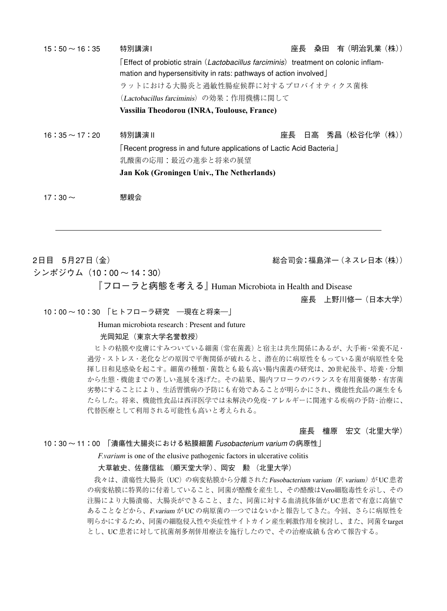| $15:50 \sim 16:35$ | 特別講演1                                                                                                                                                  | 桑田 有(明治乳業(株))<br>座長                                                  |  |  |  |
|--------------------|--------------------------------------------------------------------------------------------------------------------------------------------------------|----------------------------------------------------------------------|--|--|--|
|                    | Effect of probiotic strain (Lactobacillus farciminis) treatment on colonic inflam-<br>mation and hypersensitivity in rats: pathways of action involved |                                                                      |  |  |  |
|                    | ラットにおける大腸炎と過敏性腸症候群に対するプロバイオティクス菌株                                                                                                                      |                                                                      |  |  |  |
|                    | (Lactobacillus farciminis) の効果:作用機構に関して                                                                                                                |                                                                      |  |  |  |
|                    | Vassilia Theodorou (INRA, Toulouse, France)                                                                                                            |                                                                      |  |  |  |
| 16:35 $\sim$ 17:20 | 特別講演Ⅱ                                                                                                                                                  | 日高 秀昌(松谷化学(株))<br>座長                                                 |  |  |  |
|                    |                                                                                                                                                        | [Recent progress in and future applications of Lactic Acid Bacteria] |  |  |  |
|                    | 乳酸菌の応用:最近の進歩と将来の展望                                                                                                                                     |                                                                      |  |  |  |
|                    | Jan Kok (Groningen Univ., The Netherlands)                                                                                                             |                                                                      |  |  |  |
| 17:30 $\sim$       | 懇親会                                                                                                                                                    |                                                                      |  |  |  |

2日目 5月27日(金) 総合司会:福島洋一(ネスレ日本(株))

シンポジウム (10:00 ~ 14:30)

『フローラと病態を考える』Human Microbiota in Health and Disease

座長 上野川修一(日本大学)

### 10:00 ~ 10:30 「ヒトフローラ研究 ―現在と将来―」

## Human microbiota research : Present and future

#### 光岡知足(東京大学名誉教授)

 ヒトの粘膜や皮膚にすみついている細菌(常在菌叢)と宿主は共生関係にあるが、大手術・栄養不足・ 過労・ストレス・老化などの原因で平衡関係が破れると、潜在的に病原性をもっている菌が病原性を発 揮し日和見感染を起こす。細菌の種類・菌数とも最も高い腸内菌叢の研究は、20世紀後半、培養・分類 から生態・機能までの著しい進展を遂げた。その結果、腸内フローラのバランスを有用菌優勢・有害菌 劣勢にすることにより、生活習慣病の予防にも有効であることが明らかにされ、機能性食品の誕生をも たらした。将来、機能性食品は西洋医学では未解決の免疫・アレルギーに関連する疾病の予防・治療に、 代替医療として利用される可能性も高いと考えられる。

座長 檀原 宏文(北里大学)

### 10:30 ~ 11:00 「潰瘍性大腸炎における粘膜細菌 Fusobacterium varium の病原性」

# *F.varium* is one of the elusive pathogenic factors in ulcerative colitis

## 大草敏史、佐藤信紘 (順天堂大学)、岡安 勲 (北里大学)

我々は、潰瘍性大腸炎(UC)の病変粘膜から分離された Fusobacterium varium (F. varium)が UC 患者 の病変粘膜に特異的に付着していること、同菌が酪酸を産生し、その酪酸はVero細胞毒性を示し、その 注腸により大腸潰瘍、大腸炎ができること、また、同菌に対する血清抗体価が UC 患者で有意に高値で あることなどから、F.varium が UC の病原菌の一つではないかと報告してきた。今回、さらに病原性を 明らかにするため、同菌の細胞侵入性や炎症性サイトカイン産生刺激作用を検討し、また、同菌をtarget とし、UC 患者に対して抗菌剤多剤併用療法を施行したので、その治療成績も含めて報告する。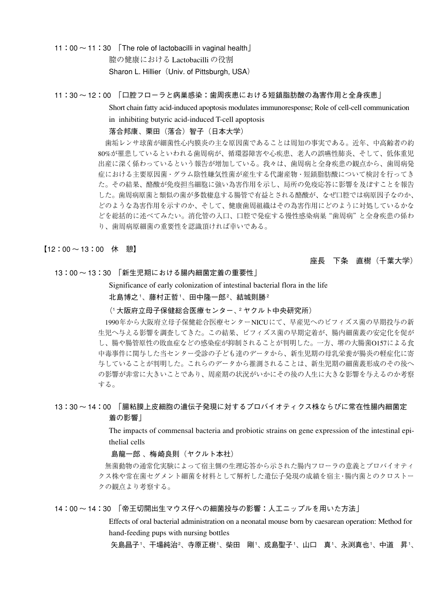11:00  $\sim$  11:30 | The role of lactobacilli in vaginal health 膣の健康における Lactobacilli の役割 Sharon L. Hillier (Univ. of Pittsburgh, USA)

#### 11:30 ~ 12:00 「口腔フローラと病巣感染:歯周疾患における短鎖脂肪酸の為害作用と全身疾患」

Short chain fatty acid-induced apoptosis modulates immunoresponse; Role of cell-cell communication in inhibiting butyric acid-induced T-cell apoptosis

#### 落合邦康、栗田(落合)智子(日本大学)

 歯垢レンサ球菌が細菌性心内膜炎の主な原因菌であることは周知の事実である。近年、中高齢者の約 80%が罹患しているといわれる歯周病が、循環器障害や心疾患、老人の誤嚥性肺炎、そして、低体重児 出産に深く係わっているという報告が増加している。我々は、歯周病と全身疾患の観点から、歯周病発 症における主要原因菌・グラム陰性嫌気性菌が産生する代謝産物・短鎖脂肪酸について検討を行ってき た。その結果、酪酸が免疫担当細胞に強い為害作用を示し、局所の免疫応答に影響を及ぼすことを報告 した。歯周病原菌と類似の菌が多数棲息する腸管で有益とされる酪酸が、なぜ口腔では病原因子なのか、 どのような為害作用を示すのか、そして、健康歯周組織はその為害作用にどのように対処しているかな どを総括的に述べてみたい。消化管の入口、口腔で発症する慢性感染病巣"歯周病"と全身疾患の係わ り、歯周病原細菌の重要性を認識頂ければ幸いである。

#### 【12:00 ~ 13:00 休 憩】

#### 座長 下条 直樹(千葉大学)

13:00 ~ 13:30 「新生児期における腸内細菌定着の重要性」

Significance of early colonization of intestinal bacterial flora in the life

北島博之 '、藤村正哲 '、田中隆一郎 '、結城則勝 <del>'</del>

#### (1 大阪府立母子保健総合医療センター、2 ヤクルト中央研究所)

 1990年から大阪府立母子保健総合医療センターNICUにて、早産児へのビフィズス菌の早期投与の新 生児へ与える影響を調査してきた。この結果、ビフィズス菌の早期定着が、腸内細菌叢の安定化を促が し、腸や腸管原性の敗血症などの感染症が抑制されることが判明した。一方、堺の大腸菌O157による食 中毒事件に関与した当センター受診の子ども達のデータから、新生児期の母乳栄養が腸炎の軽症化に寄 与していることが判明した。これらのデータから推測されることは、新生児期の細菌叢形成のその後へ の影響が非常に大きいことであり、周産期の状況がいかにその後の人生に大きな影響を与えるのか考察 する。

## 13:30 ~ 14:00 「腸粘膜上皮細胞の遺伝子発現に対するプロバイオティクス株ならびに常在性腸内細菌定 着の影響」

The impacts of commensal bacteria and probiotic strains on gene expression of the intestinal epithelial cells

#### 島龍一郎 、梅崎良則(ヤクルト本社)

 無菌動物の通常化実験によって宿主側の生理応答から示された腸内フローラの意義とプロバイオティ クス株や常在菌セグメント細菌を材料として解析した遺伝子発現の成績を宿主・腸内菌とのクロストー クの観点より考察する。

14:00 ~ 14:30 「帝王切開出生マウス仔への細菌投与の影響:人工ニップルを用いた方法」

Effects of oral bacterial administration on a neonatal mouse born by caesarean operation: Method for hand-feeding pups with nursing bottles

矢島昌子'、干場純治²、寺原正樹'、柴田 剛'、成島聖子'、山口 真'、永渕真也'、中道 昇'、